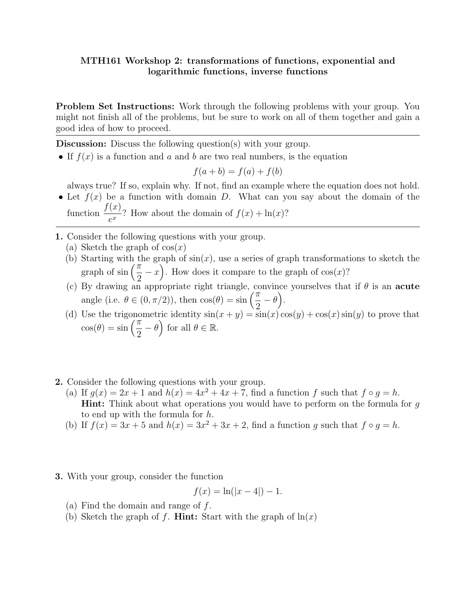## MTH161 Workshop 2: transformations of functions, exponential and logarithmic functions, inverse functions

Problem Set Instructions: Work through the following problems with your group. You might not finish all of the problems, but be sure to work on all of them together and gain a good idea of how to proceed.

Discussion: Discuss the following question(s) with your group.

• If  $f(x)$  is a function and a and b are two real numbers, is the equation

$$
f(a+b) = f(a) + f(b)
$$

always true? If so, explain why. If not, find an example where the equation does not hold.

- Let  $f(x)$  be a function with domain D. What can you say about the domain of the function  $\frac{f(x)}{x}$  $\frac{d^{(x)}}{e^x}$ ? How about the domain of  $f(x) + \ln(x)$ ?
- 1. Consider the following questions with your group.
	- (a) Sketch the graph of  $cos(x)$
	- (b) Starting with the graph of  $sin(x)$ , use a series of graph transformations to sketch the graph of  $\sin\left(\frac{\pi}{2}\right)$ 2  $(x-x)$ . How does it compare to the graph of cos(x)?
	- (c) By drawing an appropriate right triangle, convince yourselves that if  $\theta$  is an **acute** angle (i.e.  $\theta \in (0, \pi/2)$ ), then  $\cos(\theta) = \sin\left(\frac{\pi}{2}\right)$ 2  $-\theta$ ).
	- (d) Use the trigonometric identity  $sin(x + y) = sin(x) cos(y) + cos(x) sin(y)$  to prove that  $\cos(\theta) = \sin\left(\frac{\pi}{2}\right)$ 2  $-\theta$ ) for all  $\theta \in \mathbb{R}$ .
- 2. Consider the following questions with your group.
	- (a) If  $g(x) = 2x + 1$  and  $h(x) = 4x^2 + 4x + 7$ , find a function f such that  $f \circ g = h$ . Hint: Think about what operations you would have to perform on the formula for q to end up with the formula for h.
	- (b) If  $f(x) = 3x + 5$  and  $h(x) = 3x^2 + 3x + 2$ , find a function g such that  $f \circ g = h$ .
- 3. With your group, consider the function

$$
f(x) = \ln(|x - 4|) - 1.
$$

- (a) Find the domain and range of f.
- (b) Sketch the graph of f. **Hint:** Start with the graph of  $\ln(x)$